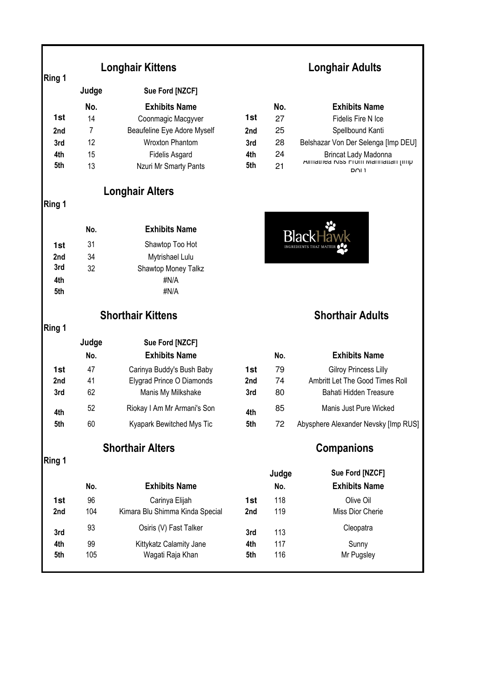|                 | Judge | Sue Ford [NZCF]             |                 |     |                                                   |
|-----------------|-------|-----------------------------|-----------------|-----|---------------------------------------------------|
|                 | No.   | <b>Exhibits Name</b>        |                 | No. | <b>Exhibits Name</b>                              |
| 1st             | 14    | Coonmagic Macgyver          | 1st             | 27  | Fidelis Fire N Ice                                |
| 2 <sub>nd</sub> |       | Beaufeline Eye Adore Myself | 2 <sub>nd</sub> | 25  | Spellbound Kanti                                  |
| 3rd             | 12    | <b>Wroxton Phantom</b>      | 3rd             | 28  | Belshazar Von Der Selenga [Imp DEU]               |
| 4th             | 15    | <b>Fidelis Asgard</b>       | 4th             | 24  | Brincat Lady Madonna                              |
| 5th             | 13    | Nzuri Mr Smarty Pants       | 5th             | 21  | Alliatiled NISS FIOIII Mahhattan (IIIII)<br>י וחח |

# **Longhair Alters**

# **Ring 1**

**Ring 1** 

|     | No. | <b>Exhibits Name</b>       |
|-----|-----|----------------------------|
| 1st | 31  | Shawtop Too Hot            |
| 2nd | 34  | Mytrishael Lulu            |
| 3rd | 32  | <b>Shawtop Money Talkz</b> |
| 4th |     | #N/A                       |
| 5th |     | #N/A                       |

**Ring 1** 

|                 | Judge | Sue Ford [NZCF]             |                 |     |                                      |
|-----------------|-------|-----------------------------|-----------------|-----|--------------------------------------|
|                 | No.   | <b>Exhibits Name</b>        |                 | No. | <b>Exhibits Name</b>                 |
| 1st             | 47    | Carinya Buddy's Bush Baby   | 1st             | 79  | <b>Gilroy Princess Lilly</b>         |
| 2 <sub>nd</sub> | 41    | Elygrad Prince O Diamonds   | 2 <sub>nd</sub> | 74  | Ambritt Let The Good Times Roll      |
| 3rd             | 62    | Manis My Milkshake          | 3rd             | 80  | Bahati Hidden Treasure               |
| 4th             | 52    | Riokay I Am Mr Armani's Son | 4th             | 85  | Manis Just Pure Wicked               |
| 5th             | 60    | Kyapark Bewitched Mys Tic   | 5th             | 72  | Abysphere Alexander Nevsky [Imp RUS] |

**Shorthair Alters Companions** 

**Ring 1** 

|                 | No. | <b>Exhibits Name</b>            |                 | Judge<br>No. | Sue Ford [NZCF]<br><b>Exhibits Name</b> |
|-----------------|-----|---------------------------------|-----------------|--------------|-----------------------------------------|
| 1st             | 96  | Carinya Elijah                  | 1st             | 118          | Olive Oil                               |
| 2 <sub>nd</sub> | 104 | Kimara Blu Shimma Kinda Special | 2 <sub>nd</sub> | 119          | Miss Dior Cherie                        |
| 3rd             | 93  | Osiris (V) Fast Talker          | 3rd             | 113          | Cleopatra                               |
| 4th             | 99  | Kittykatz Calamity Jane         | 4th             | 117          | Sunny                                   |
| 5th             | 105 | Wagati Raja Khan                | 5th             | 116          | Mr Pugsley                              |
|                 |     |                                 |                 |              |                                         |

# **Longhair Kittens Longhair Adults**

|     | NO. | <b>Exhibits Name</b>                     |
|-----|-----|------------------------------------------|
| 1st | 27  | Fidelis Fire N Ice                       |
| 2nd | 25  | Spellbound Kanti                         |
| 3rd | 28  | Belshazar Von Der Selenga [Imp DEU]      |
| 4th | 24  | Brincat Lady Madonna                     |
| 5th | 21  | Allilatilea NISS FIOIII Mahhattan (IIII) |
|     |     |                                          |



### **Shorthair Kittens Shorthair Adults**

|            | No. | <b>Exhibits Name</b>                 |
|------------|-----|--------------------------------------|
| 1st        | 79  | <b>Gilroy Princess Lilly</b>         |
| 2nd        | 74  | Ambritt Let The Good Times Roll      |
| 3rd        | 80  | Bahati Hidden Treasure               |
| 4th<br>5th | 85  | Manis Just Pure Wicked               |
|            | 72  | Abysphere Alexander Nevsky [Imp RUS] |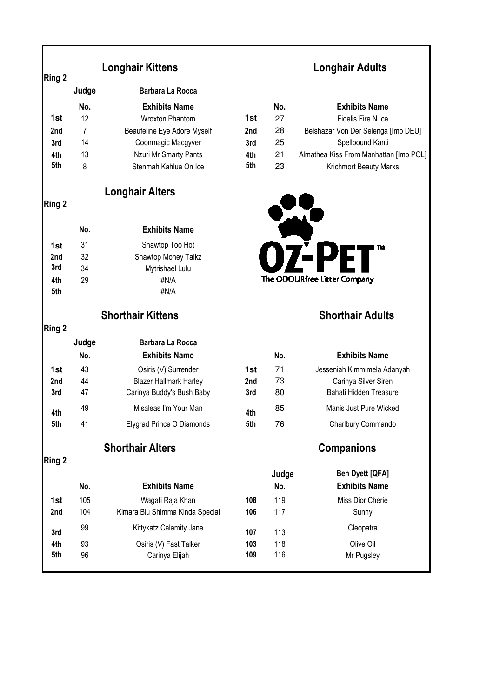| <b>Longhair Kittens</b> |
|-------------------------|
|-------------------------|

|                 | Judge | Barbara La Rocca            |                 |     |                                        |
|-----------------|-------|-----------------------------|-----------------|-----|----------------------------------------|
|                 | No.   | <b>Exhibits Name</b>        |                 | No. | <b>Exhibits Name</b>                   |
| 1st             | 12    | <b>Wroxton Phantom</b>      | 1st             | 27  | Fidelis Fire N Ice                     |
| 2 <sub>nd</sub> |       | Beaufeline Eye Adore Myself | 2 <sub>nd</sub> | 28  | Belshazar Von Der Selenga [Imp DEU]    |
| 3rd             | 14    | Coonmagic Macgyver          | 3rd             | 25  | Spellbound Kanti                       |
| 4th             | 13    | Nzuri Mr Smarty Pants       | 4th             | 21  | Almathea Kiss From Manhattan [Imp POL] |
| 5th             | 8     | Stenmah Kahlua On Ice       | 5th             | 23  | <b>Krichmort Beauty Marxs</b>          |

### **Longhair Alters**

**Ring 2** 

**Ring 2** 

|     | No. | <b>Exhibits Name</b> |
|-----|-----|----------------------|
| 1st | 31  | Shawtop Too Hot      |
| 2nd | 32  | Shawtop Money Talkz  |
| 3rd | 34  | Mytrishael Lulu      |
| 4th | 29  | #N/A                 |
| 5th |     | #N/A                 |

### **Shorthair Kittens Shorthair Adults**

**Ring 2** 

| sıng z          |       |                               |                 |     |                             |
|-----------------|-------|-------------------------------|-----------------|-----|-----------------------------|
|                 | Judge | <b>Barbara La Rocca</b>       |                 |     |                             |
|                 | No.   | <b>Exhibits Name</b>          |                 | No. | <b>Exhibits Name</b>        |
| 1st             | 43    | Osiris (V) Surrender          | 1st             | 71  | Jesseniah Kimmimela Adanyah |
| 2 <sub>nd</sub> | 44    | <b>Blazer Hallmark Harley</b> | 2 <sub>nd</sub> | 73  | Carinya Silver Siren        |
| 3rd             | 47    | Carinya Buddy's Bush Baby     | 3rd             | 80  | Bahati Hidden Treasure      |
| 4th             | 49    | Misaleas I'm Your Man         | 4th             | 85  | Manis Just Pure Wicked      |
| 5th             | 41    | Elygrad Prince O Diamonds     | 5th             | 76  | Charlbury Commando          |

**Shorthair Alters Companions** 

**Ring 2** 

| <b>Ben Dyett [QFA]</b><br>Judge |
|---------------------------------|
| <b>Exhibits Name</b>            |
| Miss Dior Cherie                |
| Sunny                           |
| Cleopatra                       |
| Olive Oil                       |
| Mr Pugsley                      |
|                                 |



 **Longhair Adults**

| NO. | <b>EXHIDIIS NATILE</b>      |
|-----|-----------------------------|
| 71  | Jesseniah Kimmimela Adanyah |
| 73  | Carinya Silver Siren        |
| 80  | Bahati Hidden Treasure      |
| 85  | Manis Just Pure Wicked      |
| 76  | Charlbury Commando          |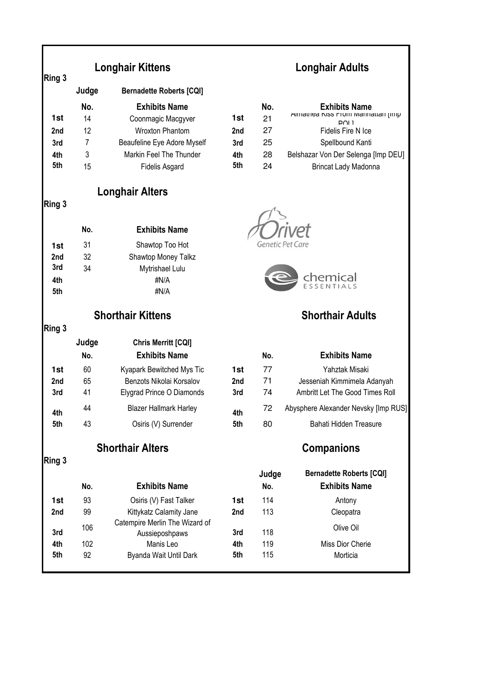| Ring 3     | <b>Longhair Kittens</b>  |                                 | <b>Longhair Adults</b> |                         |                                            |  |
|------------|--------------------------|---------------------------------|------------------------|-------------------------|--------------------------------------------|--|
|            | Judge                    | <b>Bernadette Roberts [CQI]</b> |                        |                         |                                            |  |
|            | No.                      | <b>Exhibits Name</b>            |                        | No.                     | <b>Exhibits Name</b>                       |  |
| 1st        | 14                       | Coonmagic Macgyver              | 1st                    | 21                      | Almathea Niss From Manhattan jimp<br>ו ו∩ם |  |
| 2nd        | 12                       | <b>Wroxton Phantom</b>          | 2nd                    | 27                      | Fidelis Fire N Ice                         |  |
| 3rd        | $\overline{7}$           | Beaufeline Eye Adore Myself     | 3rd                    | 25                      | Spellbound Kanti                           |  |
| 4th        | 3                        | Markin Feel The Thunder         | 4th                    | 28                      | Belshazar Von Der Selenga [Imp DEU]        |  |
| 5th        | 15                       | <b>Fidelis Asgard</b>           | 5th                    | 24                      | Brincat Lady Madonna                       |  |
|            |                          | <b>Longhair Alters</b>          |                        |                         |                                            |  |
| Ring 3     |                          |                                 |                        |                         |                                            |  |
|            | No.                      | <b>Exhibits Name</b>            |                        |                         |                                            |  |
| 1st        | 31                       | Shawtop Too Hot                 |                        |                         | Genetic Pet Care                           |  |
| 2nd        | 32                       | Shawtop Money Talkz             |                        |                         |                                            |  |
| 3rd        | 34                       | Mytrishael Lulu                 |                        |                         |                                            |  |
| 4th        |                          | #N/A                            |                        |                         | chemical                                   |  |
| 5th        |                          | #N/A                            |                        |                         |                                            |  |
|            | <b>Shorthair Kittens</b> |                                 |                        | <b>Shorthair Adults</b> |                                            |  |
| Ring 3     |                          |                                 |                        |                         |                                            |  |
|            | Judge                    | Chris Merritt [CQI]             |                        |                         |                                            |  |
|            | No.                      | <b>Exhibits Name</b>            |                        | No.                     | <b>Exhibits Name</b>                       |  |
| 1st        | 60                       | Kyapark Bewitched Mys Tic       | 1st                    | 77                      | Yahztak Misaki                             |  |
| 2nd        | 65                       | Benzots Nikolai Korsalov        | 2nd                    | 71                      | Jesseniah Kimmimela Adanyah                |  |
| 3rd        | 41                       | Elygrad Prince O Diamonds       | 3rd                    | 74                      | Ambritt Let The Good Times Roll            |  |
| 4th        | 44                       | <b>Blazer Hallmark Harley</b>   | 4th                    | 72                      | Abysphere Alexander Nevsky [Imp RUS]       |  |
| 5th        | 43                       | Osiris (V) Surrender            | 5th                    | 80                      | Bahati Hidden Treasure                     |  |
|            | <b>Shorthair Alters</b>  |                                 |                        | <b>Companions</b>       |                                            |  |
| Ring 3     |                          |                                 |                        |                         |                                            |  |
|            |                          |                                 |                        | Judge                   | <b>Bernadette Roberts [CQI]</b>            |  |
|            | No.                      | <b>Exhibits Name</b>            |                        | No.                     | <b>Exhibits Name</b>                       |  |
| 1st        | 93                       | Osiris (V) Fast Talker          | 1st                    | 114                     | Antony                                     |  |
| 2nd        | 99                       | Kittykatz Calamity Jane         | 2nd                    | 113                     | Cleopatra                                  |  |
|            | 106                      | Catempire Merlin The Wizard of  |                        | 118                     | Olive Oil                                  |  |
| 3rd<br>4th | 102                      | Aussieposhpaws<br>Manis Leo     | 3rd<br>4th             | 119                     | Miss Dior Cherie                           |  |
| 5th        | 92                       | Byanda Wait Until Dark          | 5th                    | 115                     | Morticia                                   |  |
|            |                          |                                 |                        |                         |                                            |  |

Г